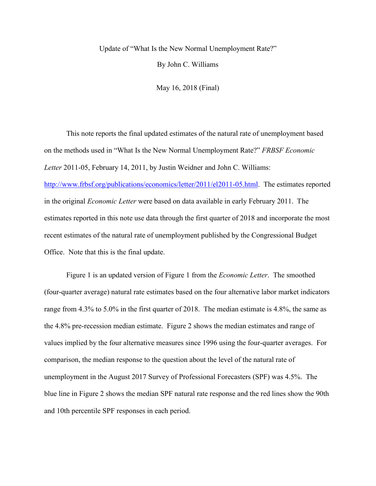## Update of "What Is the New Normal Unemployment Rate?"

By John C. Williams

May 16, 2018 (Final)

This note reports the final updated estimates of the natural rate of unemployment based on the methods used in "What Is the New Normal Unemployment Rate?" *FRBSF Economic Letter* 2011-05, February 14, 2011, by Justin Weidner and John C. Williams: [http://www.frbsf.org/publications/economics/letter/2011/el2011-05.html.](http://www.frbsf.org/publications/economics/letter/2011/el2011-05.html) The estimates reported in the original *Economic Letter* were based on data available in early February 2011. The estimates reported in this note use data through the first quarter of 2018 and incorporate the most recent estimates of the natural rate of unemployment published by the Congressional Budget Office. Note that this is the final update.

Figure 1 is an updated version of Figure 1 from the *Economic Letter*. The smoothed (four-quarter average) natural rate estimates based on the four alternative labor market indicators range from 4.3% to 5.0% in the first quarter of 2018. The median estimate is 4.8%, the same as the 4.8% pre-recession median estimate. Figure 2 shows the median estimates and range of values implied by the four alternative measures since 1996 using the four-quarter averages. For comparison, the median response to the question about the level of the natural rate of unemployment in the August 2017 Survey of Professional Forecasters (SPF) was 4.5%. The blue line in Figure 2 shows the median SPF natural rate response and the red lines show the 90th and 10th percentile SPF responses in each period.